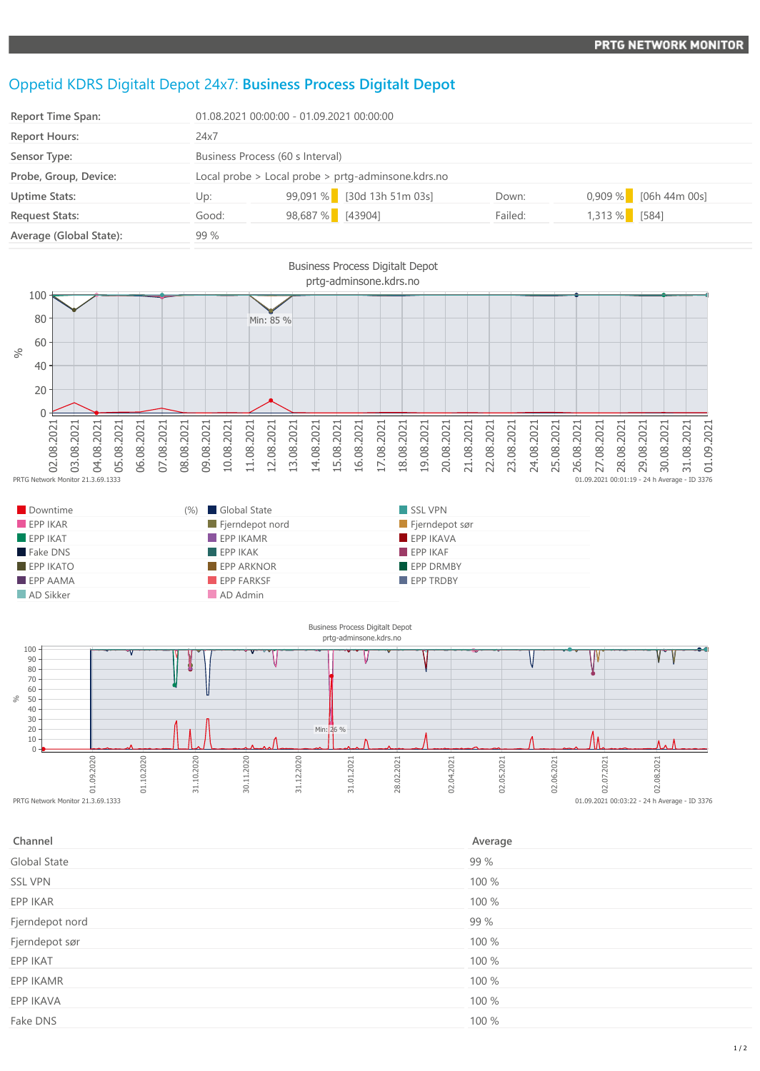## Oppetid KDRS Digitalt Depot 24x7: **Business Process Digitalt Depot**

| <b>Report Time Span:</b> | 01.08.2021 00:00:00 - 01.09.2021 00:00:00          |                            |         |                         |  |
|--------------------------|----------------------------------------------------|----------------------------|---------|-------------------------|--|
| <b>Report Hours:</b>     | 24x7                                               |                            |         |                         |  |
| Sensor Type:             | Business Process (60 s Interval)                   |                            |         |                         |  |
| Probe, Group, Device:    | Local probe > Local probe > prtg-adminsone.kdrs.no |                            |         |                         |  |
| <b>Uptime Stats:</b>     | Up:                                                | 99,091 % [30d 13h 51m 03s] | Down:   | $0,909\%$ [06h 44m 00s] |  |
| <b>Request Stats:</b>    | Good:                                              | 98,687 % [43904]           | Failed: | 1,313 % [584]           |  |
| Average (Global State):  | 99%                                                |                            |         |                         |  |



| Downtime                | (%) Global State         | SSL VPN          |
|-------------------------|--------------------------|------------------|
| EPPIKAR                 | Fjerndepot nord          | Fjerndepot sør   |
| $F$ EPP IKAT            | $\blacksquare$ EPP IKAMR | EPP IKAVA        |
| Fake DNS                | EPPIKAK                  | EPPIKAF          |
| $EPP$ IKATO             | <b>EPP ARKNOR</b>        | EPP DRMBY        |
| $\blacksquare$ EPP AAMA | <b>EPP FARKSF</b>        | <b>EPP TRDBY</b> |
| AD Sikker               | AD Admin                 |                  |



| Channel             | Average |
|---------------------|---------|
| <b>Global State</b> | 99 %    |
| <b>SSL VPN</b>      | 100 %   |
| EPP IKAR            | 100 %   |
| Fjerndepot nord     | 99 %    |
| Fjerndepot sør      | 100 %   |
| EPP IKAT            | 100 %   |
| EPP IKAMR           | 100 %   |
| EPP IKAVA           | 100 %   |
| Fake DNS            | 100 %   |
|                     |         |